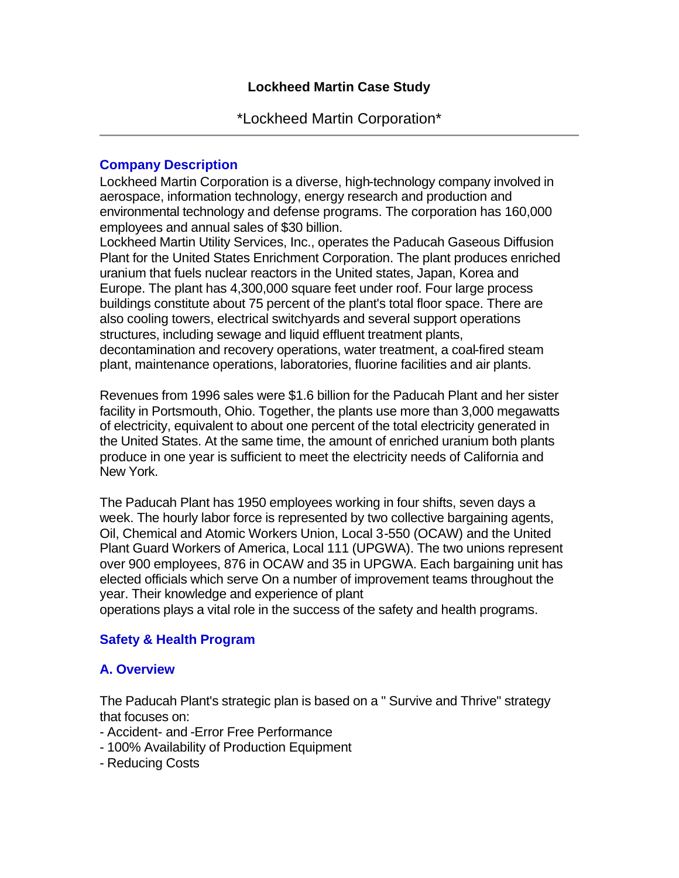## **Company Description**

Lockheed Martin Corporation is a diverse, high-technology company involved in aerospace, information technology, energy research and production and environmental technology and defense programs. The corporation has 160,000 employees and annual sales of \$30 billion.

Lockheed Martin Utility Services, Inc., operates the Paducah Gaseous Diffusion Plant for the United States Enrichment Corporation. The plant produces enriched uranium that fuels nuclear reactors in the United states, Japan, Korea and Europe. The plant has 4,300,000 square feet under roof. Four large process buildings constitute about 75 percent of the plant's total floor space. There are also cooling towers, electrical switchyards and several support operations structures, including sewage and liquid effluent treatment plants, decontamination and recovery operations, water treatment, a coal-fired steam plant, maintenance operations, laboratories, fluorine facilities and air plants.

Revenues from 1996 sales were \$1.6 billion for the Paducah Plant and her sister facility in Portsmouth, Ohio. Together, the plants use more than 3,000 megawatts of electricity, equivalent to about one percent of the total electricity generated in the United States. At the same time, the amount of enriched uranium both plants produce in one year is sufficient to meet the electricity needs of California and New York.

The Paducah Plant has 1950 employees working in four shifts, seven days a week. The hourly labor force is represented by two collective bargaining agents, Oil, Chemical and Atomic Workers Union, Local 3-550 (OCAW) and the United Plant Guard Workers of America, Local 111 (UPGWA). The two unions represent over 900 employees, 876 in OCAW and 35 in UPGWA. Each bargaining unit has elected officials which serve On a number of improvement teams throughout the year. Their knowledge and experience of plant

operations plays a vital role in the success of the safety and health programs.

# **Safety & Health Program**

# **A. Overview**

The Paducah Plant's strategic plan is based on a " Survive and Thrive" strategy that focuses on:

- Accident- and -Error Free Performance
- 100% Availability of Production Equipment
- Reducing Costs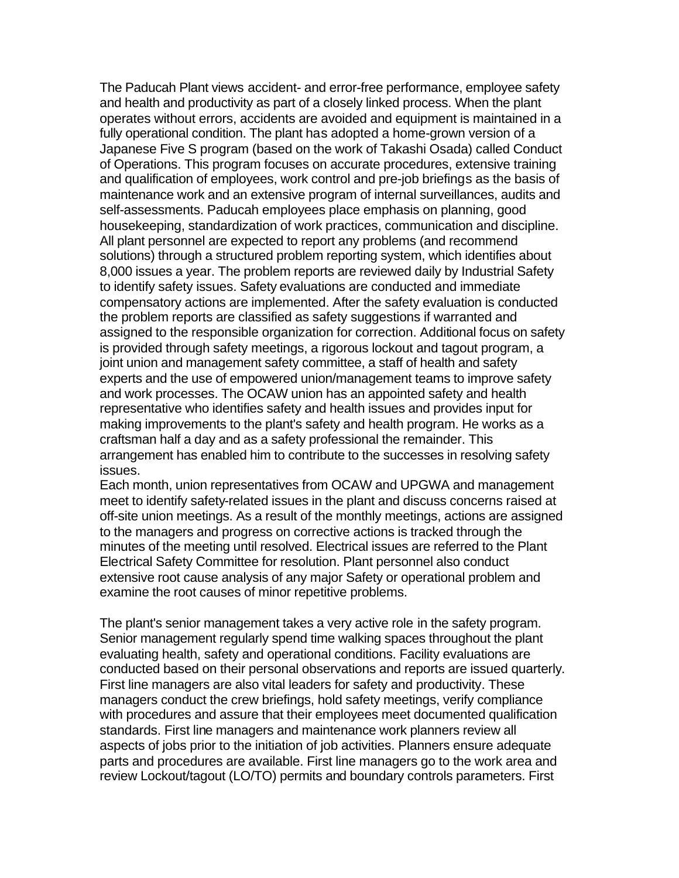The Paducah Plant views accident- and error-free performance, employee safety and health and productivity as part of a closely linked process. When the plant operates without errors, accidents are avoided and equipment is maintained in a fully operational condition. The plant has adopted a home-grown version of a Japanese Five S program (based on the work of Takashi Osada) called Conduct of Operations. This program focuses on accurate procedures, extensive training and qualification of employees, work control and pre-job briefings as the basis of maintenance work and an extensive program of internal surveillances, audits and self-assessments. Paducah employees place emphasis on planning, good housekeeping, standardization of work practices, communication and discipline. All plant personnel are expected to report any problems (and recommend solutions) through a structured problem reporting system, which identifies about 8,000 issues a year. The problem reports are reviewed daily by Industrial Safety to identify safety issues. Safety evaluations are conducted and immediate compensatory actions are implemented. After the safety evaluation is conducted the problem reports are classified as safety suggestions if warranted and assigned to the responsible organization for correction. Additional focus on safety is provided through safety meetings, a rigorous lockout and tagout program, a joint union and management safety committee, a staff of health and safety experts and the use of empowered union/management teams to improve safety and work processes. The OCAW union has an appointed safety and health representative who identifies safety and health issues and provides input for making improvements to the plant's safety and health program. He works as a craftsman half a day and as a safety professional the remainder. This arrangement has enabled him to contribute to the successes in resolving safety issues.

Each month, union representatives from OCAW and UPGWA and management meet to identify safety-related issues in the plant and discuss concerns raised at off-site union meetings. As a result of the monthly meetings, actions are assigned to the managers and progress on corrective actions is tracked through the minutes of the meeting until resolved. Electrical issues are referred to the Plant Electrical Safety Committee for resolution. Plant personnel also conduct extensive root cause analysis of any major Safety or operational problem and examine the root causes of minor repetitive problems.

The plant's senior management takes a very active role in the safety program. Senior management regularly spend time walking spaces throughout the plant evaluating health, safety and operational conditions. Facility evaluations are conducted based on their personal observations and reports are issued quarterly. First line managers are also vital leaders for safety and productivity. These managers conduct the crew briefings, hold safety meetings, verify compliance with procedures and assure that their employees meet documented qualification standards. First line managers and maintenance work planners review all aspects of jobs prior to the initiation of job activities. Planners ensure adequate parts and procedures are available. First line managers go to the work area and review Lockout/tagout (LO/TO) permits and boundary controls parameters. First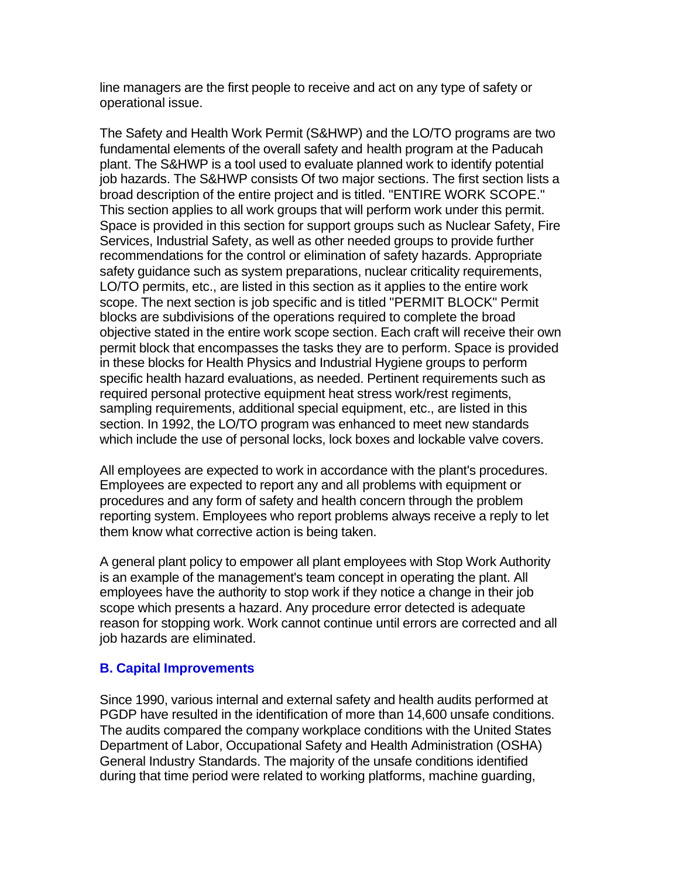line managers are the first people to receive and act on any type of safety or operational issue.

The Safety and Health Work Permit (S&HWP) and the LO/TO programs are two fundamental elements of the overall safety and health program at the Paducah plant. The S&HWP is a tool used to evaluate planned work to identify potential job hazards. The S&HWP consists Of two major sections. The first section lists a broad description of the entire project and is titled. "ENTIRE WORK SCOPE." This section applies to all work groups that will perform work under this permit. Space is provided in this section for support groups such as Nuclear Safety, Fire Services, Industrial Safety, as well as other needed groups to provide further recommendations for the control or elimination of safety hazards. Appropriate safety guidance such as system preparations, nuclear criticality requirements, LO/TO permits, etc., are listed in this section as it applies to the entire work scope. The next section is job specific and is titled "PERMIT BLOCK" Permit blocks are subdivisions of the operations required to complete the broad objective stated in the entire work scope section. Each craft will receive their own permit block that encompasses the tasks they are to perform. Space is provided in these blocks for Health Physics and Industrial Hygiene groups to perform specific health hazard evaluations, as needed. Pertinent requirements such as required personal protective equipment heat stress work/rest regiments, sampling requirements, additional special equipment, etc., are listed in this section. In 1992, the LO/TO program was enhanced to meet new standards which include the use of personal locks, lock boxes and lockable valve covers.

All employees are expected to work in accordance with the plant's procedures. Employees are expected to report any and all problems with equipment or procedures and any form of safety and health concern through the problem reporting system. Employees who report problems always receive a reply to let them know what corrective action is being taken.

A general plant policy to empower all plant employees with Stop Work Authority is an example of the management's team concept in operating the plant. All employees have the authority to stop work if they notice a change in their job scope which presents a hazard. Any procedure error detected is adequate reason for stopping work. Work cannot continue until errors are corrected and all job hazards are eliminated.

## **B. Capital Improvements**

Since 1990, various internal and external safety and health audits performed at PGDP have resulted in the identification of more than 14,600 unsafe conditions. The audits compared the company workplace conditions with the United States Department of Labor, Occupational Safety and Health Administration (OSHA) General Industry Standards. The majority of the unsafe conditions identified during that time period were related to working platforms, machine guarding,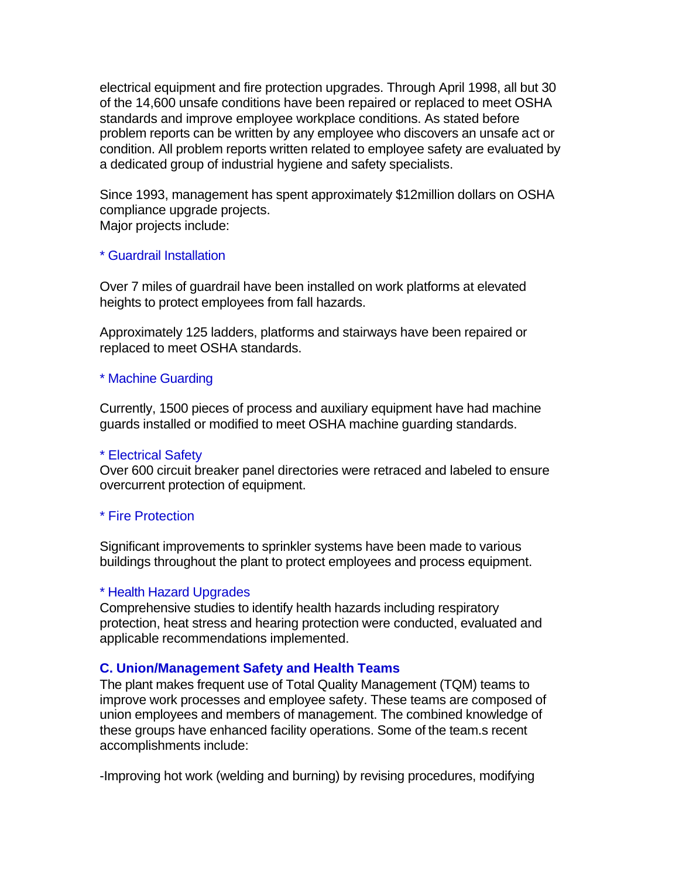electrical equipment and fire protection upgrades. Through April 1998, all but 30 of the 14,600 unsafe conditions have been repaired or replaced to meet OSHA standards and improve employee workplace conditions. As stated before problem reports can be written by any employee who discovers an unsafe act or condition. All problem reports written related to employee safety are evaluated by a dedicated group of industrial hygiene and safety specialists.

Since 1993, management has spent approximately \$12million dollars on OSHA compliance upgrade projects. Major projects include:

#### \* Guardrail Installation

Over 7 miles of guardrail have been installed on work platforms at elevated heights to protect employees from fall hazards.

Approximately 125 ladders, platforms and stairways have been repaired or replaced to meet OSHA standards.

## \* Machine Guarding

Currently, 1500 pieces of process and auxiliary equipment have had machine guards installed or modified to meet OSHA machine guarding standards.

#### \* Electrical Safety

Over 600 circuit breaker panel directories were retraced and labeled to ensure overcurrent protection of equipment.

#### \* Fire Protection

Significant improvements to sprinkler systems have been made to various buildings throughout the plant to protect employees and process equipment.

#### \* Health Hazard Upgrades

Comprehensive studies to identify health hazards including respiratory protection, heat stress and hearing protection were conducted, evaluated and applicable recommendations implemented.

## **C. Union/Management Safety and Health Teams**

The plant makes frequent use of Total Quality Management (TQM) teams to improve work processes and employee safety. These teams are composed of union employees and members of management. The combined knowledge of these groups have enhanced facility operations. Some of the team.s recent accomplishments include:

-Improving hot work (welding and burning) by revising procedures, modifying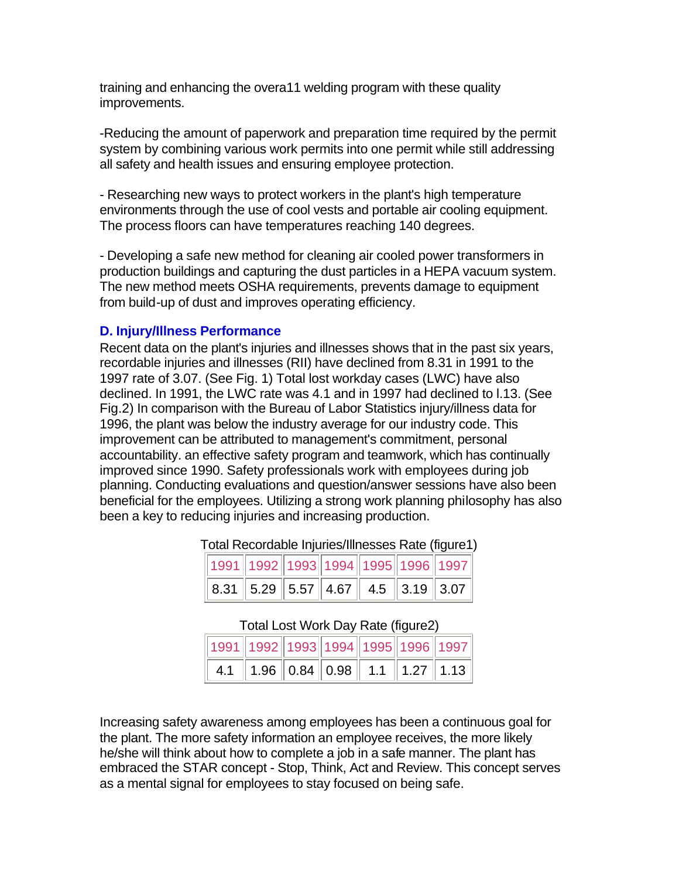training and enhancing the overa11 welding program with these quality improvements.

-Reducing the amount of paperwork and preparation time required by the permit system by combining various work permits into one permit while still addressing all safety and health issues and ensuring employee protection.

- Researching new ways to protect workers in the plant's high temperature environments through the use of cool vests and portable air cooling equipment. The process floors can have temperatures reaching 140 degrees.

- Developing a safe new method for cleaning air cooled power transformers in production buildings and capturing the dust particles in a HEPA vacuum system. The new method meets OSHA requirements, prevents damage to equipment from build-up of dust and improves operating efficiency.

#### **D. Injury/Illness Performance**

Recent data on the plant's injuries and illnesses shows that in the past six years, recordable injuries and illnesses (RII) have declined from 8.31 in 1991 to the 1997 rate of 3.07. (See Fig. 1) Total lost workday cases (LWC) have also declined. In 1991, the LWC rate was 4.1 and in 1997 had declined to l.13. (See Fig.2) In comparison with the Bureau of Labor Statistics injury/illness data for 1996, the plant was below the industry average for our industry code. This improvement can be attributed to management's commitment, personal accountability. an effective safety program and teamwork, which has continually improved since 1990. Safety professionals work with employees during job planning. Conducting evaluations and question/answer sessions have also been beneficial for the employees. Utilizing a strong work planning philosophy has also been a key to reducing injuries and increasing production.

| 1991  1992  1993  1994  1995  1996  1997                                                                              |  |  |  |
|-----------------------------------------------------------------------------------------------------------------------|--|--|--|
| $\parallel$ 8.31 $\parallel$ 5.29 $\parallel$ 5.57 $\parallel$ 4.67 $\parallel$ 4.5 $\parallel$ 3.19 $\parallel$ 3.07 |  |  |  |

| Total Recordable Injuries/Illnesses Rate (figure1) |
|----------------------------------------------------|
|----------------------------------------------------|

#### Total Lost Work Day Rate (figure2)

| 1991 1992 1993 1994 1995 1996 1997 |  |  |  |
|------------------------------------|--|--|--|
|                                    |  |  |  |

Increasing safety awareness among employees has been a continuous goal for the plant. The more safety information an employee receives, the more likely he/she will think about how to complete a job in a safe manner. The plant has embraced the STAR concept - Stop, Think, Act and Review. This concept serves as a mental signal for employees to stay focused on being safe.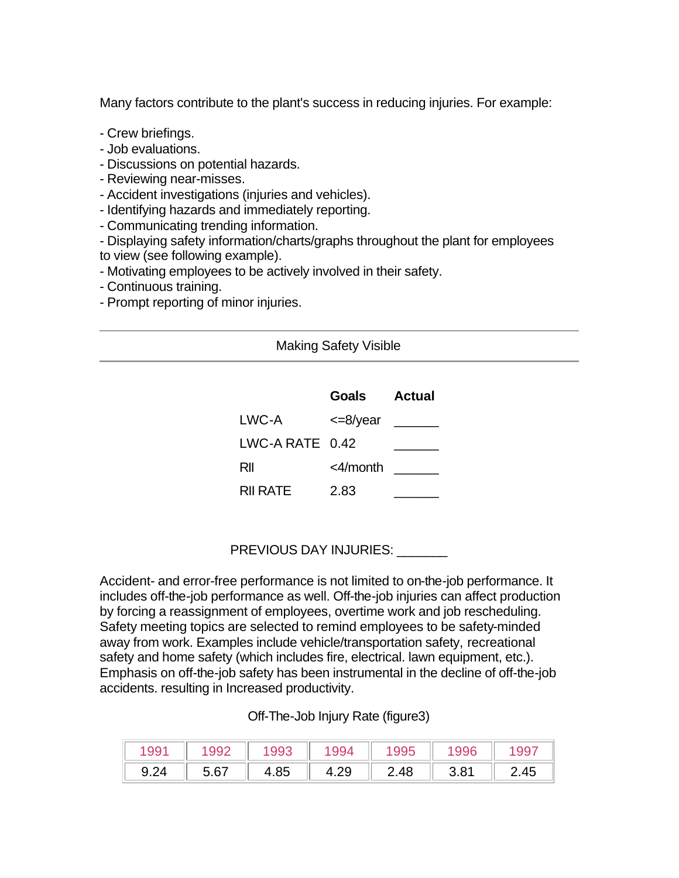Many factors contribute to the plant's success in reducing injuries. For example:

- Crew briefings.
- Job evaluations.
- Discussions on potential hazards.
- Reviewing near-misses.
- Accident investigations (injuries and vehicles).
- Identifying hazards and immediately reporting.
- Communicating trending information.
- Displaying safety information/charts/graphs throughout the plant for employees to view (see following example).
- Motivating employees to be actively involved in their safety.
- Continuous training.
- Prompt reporting of minor injuries.

#### Making Safety Visible

|                   | Goals       | Actual |
|-------------------|-------------|--------|
| LWC-A             | $<=8$ /year |        |
| LWC-A RATE $0.42$ |             |        |
| RII               | <4/month    |        |
| <b>RII RATE</b>   | 2.83        |        |

# PREVIOUS DAY INJURIES: \_\_\_\_\_\_\_

Accident- and error-free performance is not limited to on-the-job performance. It includes off-the-job performance as well. Off-the-job injuries can affect production by forcing a reassignment of employees, overtime work and job rescheduling. Safety meeting topics are selected to remind employees to be safety-minded away from work. Examples include vehicle/transportation safety, recreational safety and home safety (which includes fire, electrical. lawn equipment, etc.). Emphasis on off-the-job safety has been instrumental in the decline of off-the-job accidents. resulting in Increased productivity.

## Off-The-Job Injury Rate (figure3)

|      | 992  |      |      |      | 996  |      |
|------|------|------|------|------|------|------|
| 9.24 | 5.67 | 4.85 | 4.Z≿ | 2 48 | 3.81 | -.45 |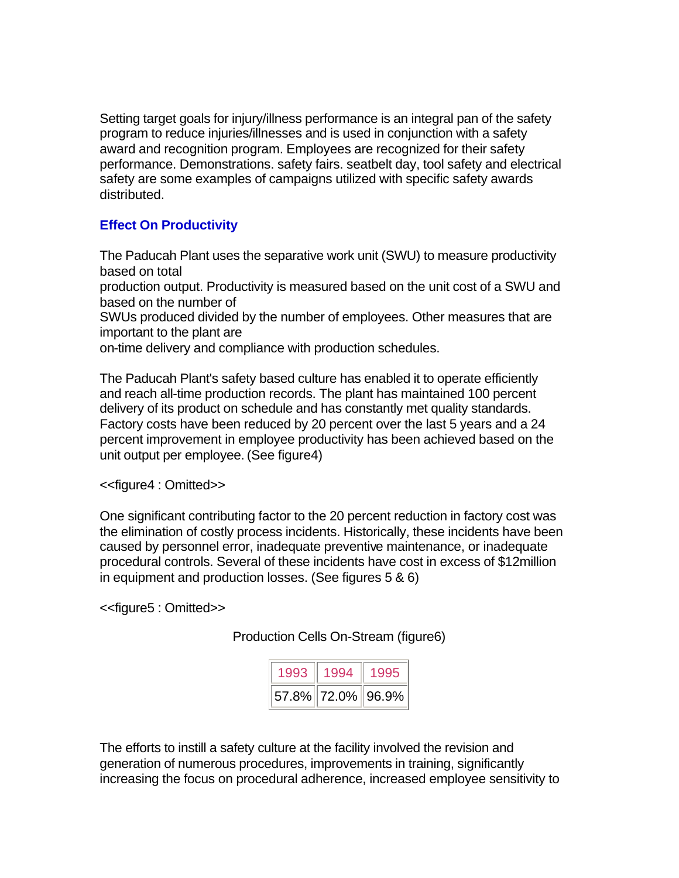Setting target goals for injury/illness performance is an integral pan of the safety program to reduce injuries/illnesses and is used in conjunction with a safety award and recognition program. Employees are recognized for their safety performance. Demonstrations. safety fairs. seatbelt day, tool safety and electrical safety are some examples of campaigns utilized with specific safety awards distributed.

## **Effect On Productivity**

The Paducah Plant uses the separative work unit (SWU) to measure productivity based on total

production output. Productivity is measured based on the unit cost of a SWU and based on the number of

SWUs produced divided by the number of employees. Other measures that are important to the plant are

on-time delivery and compliance with production schedules.

The Paducah Plant's safety based culture has enabled it to operate efficiently and reach all-time production records. The plant has maintained 100 percent delivery of its product on schedule and has constantly met quality standards. Factory costs have been reduced by 20 percent over the last 5 years and a 24 percent improvement in employee productivity has been achieved based on the unit output per employee. (See figure4)

<<figure4 : Omitted>>

One significant contributing factor to the 20 percent reduction in factory cost was the elimination of costly process incidents. Historically, these incidents have been caused by personnel error, inadequate preventive maintenance, or inadequate procedural controls. Several of these incidents have cost in excess of \$12million in equipment and production losses. (See figures 5 & 6)

<<figure5 : Omitted>>

Production Cells On-Stream (figure6)

| 1993 | 1994              | 1995 |
|------|-------------------|------|
|      | 57.8% 72.0% 96.9% |      |

The efforts to instill a safety culture at the facility involved the revision and generation of numerous procedures, improvements in training, significantly increasing the focus on procedural adherence, increased employee sensitivity to